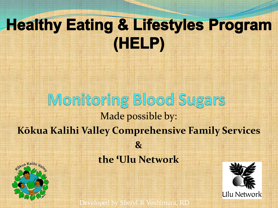### **Healthy Eating & Lifestyles Program** (HELP)

#### Monitoring Blood Sugars Made possible by: **Kōkua Kalihi Valley Comprehensive Family Services & the 'Ulu Network**





Developed by Sheryl R Yoshimura, RD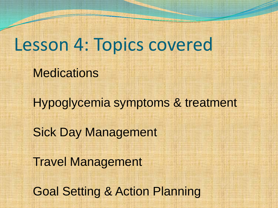### Lesson 4: Topics covered

**Medications** 

Hypoglycemia symptoms & treatment Sick Day Management Travel Management

Goal Setting & Action Planning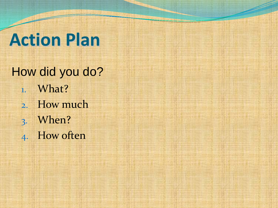## **Action Plan**

How did you do? 1. What? 2. How much 3. When? 4. How often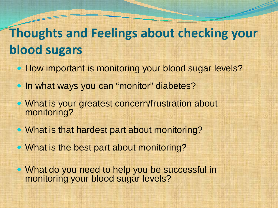### **Thoughts and Feelings about checking your blood sugars**

- How important is monitoring your blood sugar levels?
- In what ways you can "monitor" diabetes?
- What is your greatest concern/frustration about monitoring?
- What is that hardest part about monitoring?
- What is the best part about monitoring?

• What do you need to help you be successful in monitoring your blood sugar levels?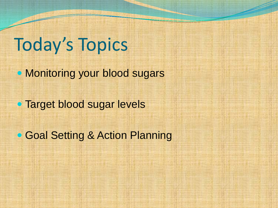### Today's Topics

• Monitoring your blood sugars

**• Target blood sugar levels** 

• Goal Setting & Action Planning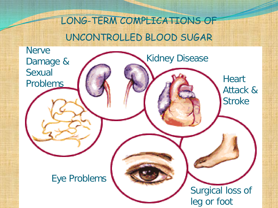LONG-TERM COMPLICATIONS OF UNCONTROLLED BLOOD SUGAR

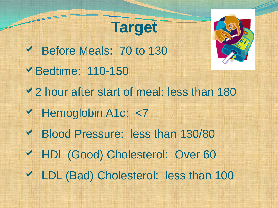### **Target**

 Before Meals: 70 to 130 Bedtime: 110-150 2 hour after start of meal: less than 180 ◆ Hemoglobin A1c: <7 Blood Pressure: less than 130/80 HDL (Good) Cholesterol: Over 60 LDL (Bad) Cholesterol: less than 100

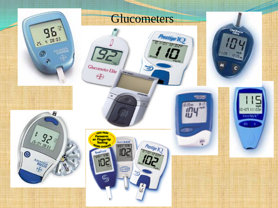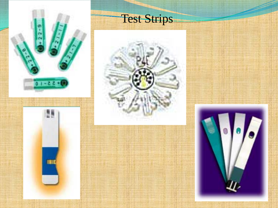

### Test Strips



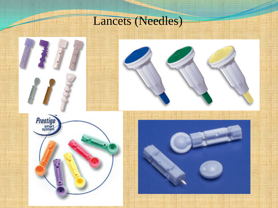#### Lancets (Needles)

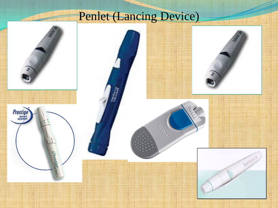### Penlet (Lancing Device)

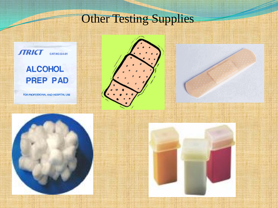#### **Other Testing Supplies**



#### **ALCOHOL PREP PAD**

FOR PROFESSIONAL AND HOSPITAL USE







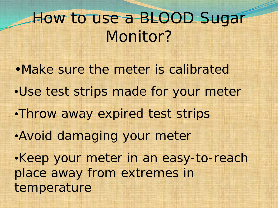### How to use a BLOOD Sugar Monitor?

•Make sure the meter is calibrated •Use test strips made for your meter •Throw away expired test strips •Avoid damaging your meter •Keep your meter in an easy-to-reach place away from extremes in temperature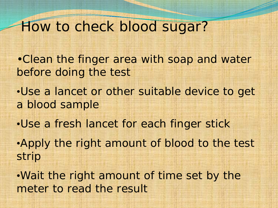#### How to check blood sugar?

- •Clean the finger area with soap and water before doing the test
- •Use a lancet or other suitable device to get a blood sample
- •Use a fresh lancet for each finger stick
- •Apply the right amount of blood to the test strip
- •Wait the right amount of time set by the meter to read the result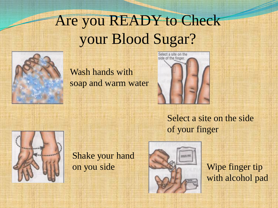### Are you READY to Check your Blood Sugar?



Wash hands with soap and warm water



Select a site on the side of your finger



Shake your hand on you side



Wipe finger tip with alcohol pad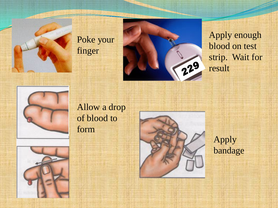





Apply enough blood on test strip. Wait for result



#### Allow a drop of blood to form





Apply bandage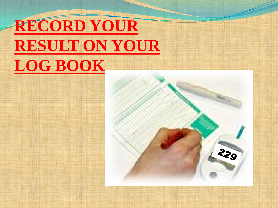### **RECORD YOUR RESULT ON YOUR LOG BOOK**

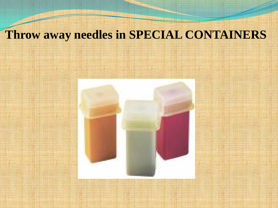#### **Throw away needles in SPECIAL CONTAINERS**

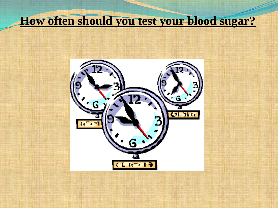#### **How often should you test your blood sugar?**

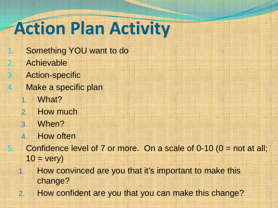# **Action Plan Activity**

- 1. Something YOU want to do
- 2. Achievable
- 3. Action-specific
- 4. Make a specific plan
	- 1. What?
	- 2. How much
	- 3. When?
	- 4. How often
- 5. Confidence level of 7 or more. On a scale of  $0-10$  ( $0 =$  not at all;  $10 = \text{very}$ 
	- 1. How convinced are you that it's important to make this change?
	- 2. How confident are you that you can make this change?